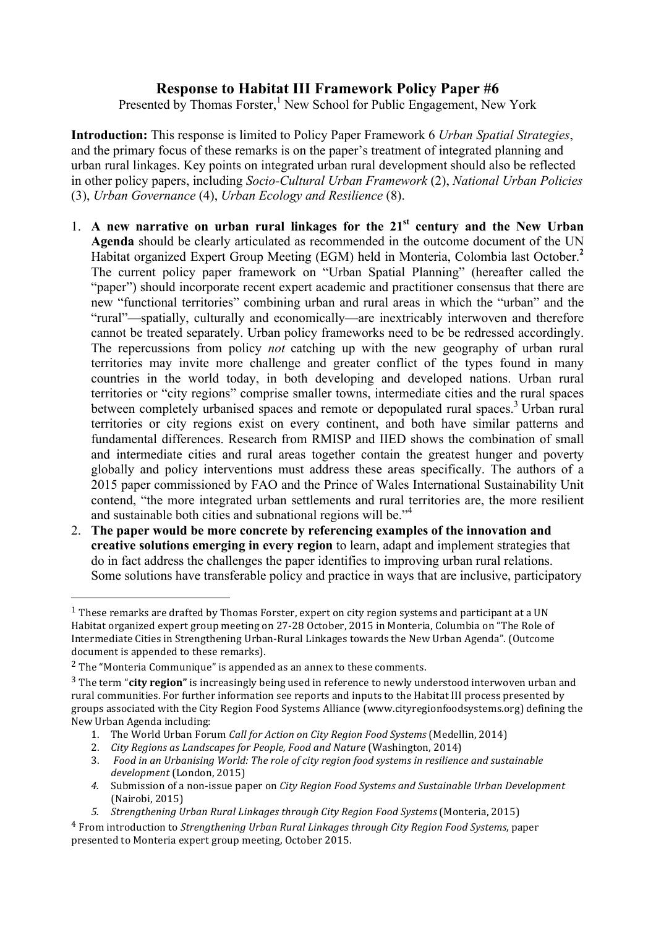## **Response to Habitat III Framework Policy Paper #6**

Presented by Thomas Forster,<sup>1</sup> New School for Public Engagement, New York

**Introduction:** This response is limited to Policy Paper Framework 6 *Urban Spatial Strategies*, and the primary focus of these remarks is on the paper's treatment of integrated planning and urban rural linkages. Key points on integrated urban rural development should also be reflected in other policy papers, including *Socio-Cultural Urban Framework* (2), *National Urban Policies* (3), *Urban Governance* (4), *Urban Ecology and Resilience* (8).

- 1. **A new narrative on urban rural linkages for the 21st century and the New Urban Agenda** should be clearly articulated as recommended in the outcome document of the UN Habitat organized Expert Group Meeting (EGM) held in Monteria, Colombia last October. **2** The current policy paper framework on "Urban Spatial Planning" (hereafter called the "paper") should incorporate recent expert academic and practitioner consensus that there are new "functional territories" combining urban and rural areas in which the "urban" and the "rural"—spatially, culturally and economically—are inextricably interwoven and therefore cannot be treated separately. Urban policy frameworks need to be be redressed accordingly. The repercussions from policy *not* catching up with the new geography of urban rural territories may invite more challenge and greater conflict of the types found in many countries in the world today, in both developing and developed nations. Urban rural territories or "city regions" comprise smaller towns, intermediate cities and the rural spaces between completely urbanised spaces and remote or depopulated rural spaces.<sup>3</sup> Urban rural territories or city regions exist on every continent, and both have similar patterns and fundamental differences. Research from RMISP and IIED shows the combination of small and intermediate cities and rural areas together contain the greatest hunger and poverty globally and policy interventions must address these areas specifically. The authors of a 2015 paper commissioned by FAO and the Prince of Wales International Sustainability Unit contend, "the more integrated urban settlements and rural territories are, the more resilient and sustainable both cities and subnational regions will be."<sup>4</sup>
- 2. **The paper would be more concrete by referencing examples of the innovation and creative solutions emerging in every region** to learn, adapt and implement strategies that do in fact address the challenges the paper identifies to improving urban rural relations. Some solutions have transferable policy and practice in ways that are inclusive, participatory

 

 $1$  These remarks are drafted by Thomas Forster, expert on city region systems and participant at a UN Habitat organized expert group meeting on 27-28 October, 2015 in Monteria, Columbia on "The Role of Intermediate Cities in Strengthening Urban-Rural Linkages towards the New Urban Agenda". (Outcome document is appended to these remarks).

 $2$  The "Monteria Communique" is appended as an annex to these comments.

<sup>&</sup>lt;sup>3</sup> The term "**city region**" is increasingly being used in reference to newly understood interwoven urban and rural communities. For further information see reports and inputs to the Habitat III process presented by groups associated with the City Region Food Systems Alliance (www.cityregionfoodsystems.org) defining the New Urban Agenda including:

<sup>1.</sup> The World Urban Forum *Call for Action on City Region Food Systems* (Medellin, 2014)

<sup>2.</sup> *City Regions as Landscapes for People, Food and Nature* (Washington, 2014)

<sup>3.</sup> Food in an Urbanising World: The role of city region food systems in resilience and sustainable development (London, 2015)

<sup>4.</sup> Submission of a non-issue paper on *City Region Food Systems and Sustainable Urban Development* (Nairobi, 2015)

<sup>5.</sup> *Strengthening Urban Rural Linkages through City Region Food Systems* (Monteria, 2015)

<sup>&</sup>lt;sup>4</sup> From introduction to *Strengthening Urban Rural Linkages through City Region Food Systems*, paper presented to Monteria expert group meeting, October 2015.